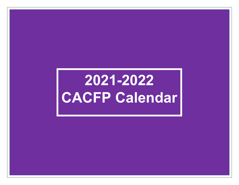## **2021-2022 CACFP Calendar**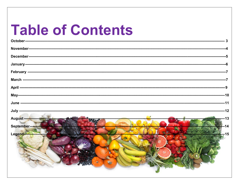### **Table of Contents**

| August<br>September-------<br>Legend- |  |
|---------------------------------------|--|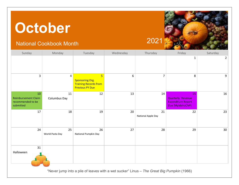### <span id="page-2-0"></span>**October**

### National Cookbook Month 2021



| Sunday                                                             | Monday                 | Tuesday                                                                                            | Wednesday        | Thursday                 | Friday                                                                          | Saturday       |
|--------------------------------------------------------------------|------------------------|----------------------------------------------------------------------------------------------------|------------------|--------------------------|---------------------------------------------------------------------------------|----------------|
|                                                                    |                        |                                                                                                    |                  |                          | $\mathbf{1}$                                                                    | $\overline{2}$ |
| $\overline{3}$                                                     | $\pmb{4}$              | $5\overline{}$<br><b>Sponsoring Org.</b><br><b>Training Records from</b><br><b>Previous PY Due</b> | $\boldsymbol{6}$ | $\overline{7}$           | 8                                                                               | 9              |
| 10<br><b>Reimbursement Claim</b><br>recommended to be<br>submitted | $11\,$<br>Columbus Day | 12                                                                                                 | 13               | 14                       | 15<br><b>Quarterly Revenue</b><br><b>Expenditure Report</b><br>Due (MyldahoCNP) | $16\,$         |
| 17                                                                 | 18                     | 19                                                                                                 | 20               | 21<br>National Apple Day | 22                                                                              | 23             |
| 24                                                                 | 25<br>World Pasta Day  | 26<br>National Pumpkin Day                                                                         | 27               | 28                       | 29                                                                              | 30             |
| 31<br>Halloween                                                    |                        |                                                                                                    |                  |                          |                                                                                 |                |

"Never jump into a pile of leaves with a wet sucker" Linus – *The Great Big Pumpkin* (1966)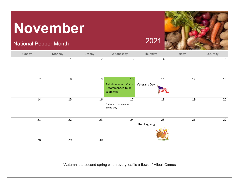### <span id="page-3-0"></span>**November**

### National Pepper Month 2021



| Sunday         | Monday       | Tuesday         | Wednesday                                                              | Thursday                          | Friday | Saturday |
|----------------|--------------|-----------------|------------------------------------------------------------------------|-----------------------------------|--------|----------|
|                | $\mathbf{1}$ | $\overline{2}$  | $\mathbf{3}$                                                           | $\overline{4}$                    | 5      | 6        |
| $\overline{7}$ | $\,8\,$      | 9               | $10\,$<br><b>Reimbursement Claim</b><br>Recommended to be<br>submitted | ${\bf 11}$<br><b>Veterans Day</b> | $12\,$ | 13       |
| 14             | 15           | 16              | 17<br>National Homemade<br><b>Bread Day</b>                            | 18                                | 19     | 20       |
| $21\,$         | $22\,$       | 23              | 24                                                                     | 25<br>Thanksgiving                | 26     | 27       |
| 28             | 29           | 30 <sup>°</sup> |                                                                        |                                   |        |          |

"Autumn is a second spring when every leaf is a flower." Albert Camus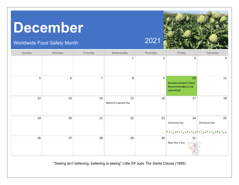### <span id="page-4-0"></span>**December**

#### Worldwide Food Safety Month  $202^{\circ}$

Thursday Sunday | Monday | Tuesday | Wednesday Friday Saturday 1 2 3 4 5 6 7 8 9 10 11 Reimbursement Claim Recommended to be submitted  $\begin{array}{|c|c|c|c|}\n\hline\n12 & 13 & 14 & 15 \\
\hline\n\end{array}$  $16$  17 18 National Cupcake Day 25 19 20 21 22 23 24 Christmas Eve | Christmas Day  $26$  27 28  $28$  29 30 31 New Year's Eve

"Seeing isn't believing, believing is seeing" Little Elf Judy *The Santa Clause (*1995)



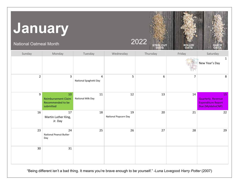## <span id="page-5-0"></span>**January**

National Oatmeal Month  $2022^\circ$ 

| Sunday         | Monday                                                             | Tuesday                                  | Wednesday                  | Thursday | Friday         | Saturday                                                                 |
|----------------|--------------------------------------------------------------------|------------------------------------------|----------------------------|----------|----------------|--------------------------------------------------------------------------|
|                |                                                                    |                                          |                            |          |                | $\mathbf{1}$<br>New Year's Day                                           |
| $\overline{2}$ | $\overline{3}$                                                     | $\overline{4}$<br>National Spaghetti Day | 5                          | 6        | $\overline{7}$ | 8                                                                        |
| 9              | 10<br><b>Reimbursement Claim</b><br>Recommended to be<br>submitted | 11<br><b>National Milk Day</b>           | 12                         | 13       | 14             | 15<br>Quarterly Revenue<br><b>Expenditure Report</b><br>Due (MyldahoCNP) |
| 16             | 17<br>Martin Luther King,<br>Jr. Day                               | 18                                       | 19<br>National Popcorn Day | 20       | 21             | 22                                                                       |
| 23             | 24<br><b>National Peanut Butter</b><br>Day                         | 25                                       | 26                         | 27       | 28             | 29                                                                       |
| 30             | 31                                                                 |                                          |                            |          |                |                                                                          |

"Being different isn't a bad thing. It means you're brave enough to be yourself." -Luna Lovegood *Harry Potter* (2007)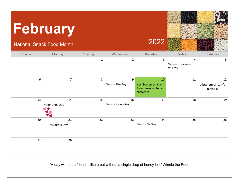# <span id="page-6-0"></span>**February**

### National Snack Food Month 2022



| Sunday | Monday                      | Tuesday      | Wednesday                 | Thursday                                                           | Friday                             | Saturday                            |
|--------|-----------------------------|--------------|---------------------------|--------------------------------------------------------------------|------------------------------------|-------------------------------------|
|        |                             | $\mathbf{1}$ | $\overline{2}$            | 3                                                                  | 4<br>National Homemade<br>Soup Day | 5                                   |
| $6\,$  | $\overline{7}$              | 8            | 9<br>National Pizza Day   | 10<br><b>Reimbursement Claim</b><br>Recommended to be<br>submitted | 11                                 | 12<br>Abraham Lincoln's<br>Birthday |
| 13     | 14<br><b>Valentines Day</b> | 15           | 16<br>National Almond Day | 17                                                                 | 18                                 | 19                                  |
| 20     | 21<br>Presidents Day        | 22           | 23                        | 24<br>National Chili Day                                           | 25                                 | 26                                  |
| 27     | 28                          |              |                           |                                                                    |                                    |                                     |

"A day without a friend is like a pot without a single drop of honey in it" Winnie the Pooh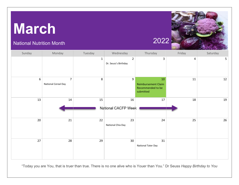### <span id="page-7-0"></span>**March**

### National Nutrition Month 2022



| Sunday | Monday                                | Tuesday      | Wednesday                              | Thursday                                                           | Friday | Saturday       |
|--------|---------------------------------------|--------------|----------------------------------------|--------------------------------------------------------------------|--------|----------------|
|        |                                       | $\mathbf{1}$ | $\overline{2}$<br>Dr. Seuss's Birthday | 3                                                                  | 4      | 5 <sub>1</sub> |
| 6      | $\overline{7}$<br>National Cereal Day | 8            | 9                                      | 10<br><b>Reimbursement Claim</b><br>Recommended to be<br>submitted | 11     | 12             |
| 13     | 14                                    | 15           | 16<br>National CACFP Week              | 17                                                                 | 18     | 19             |
| 20     | 21                                    | 22           | 23<br>National Chia Day                | 24                                                                 | 25     | 26             |
| 27     | 28                                    | 29           | 30 <sup>°</sup>                        | 31<br>National Tater Day                                           |        |                |

"Today you are You, that is truer than true. There is no one alive who is Youer than You." Dr Seuss *Happy Birthday to You*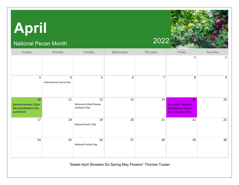# <span id="page-8-0"></span>**April**

### National Pecan Month 2022



| Sunday                                                             | Monday                               | Tuesday                                              | Wednesday | Thursday       | Friday                                                                          | Saturday        |
|--------------------------------------------------------------------|--------------------------------------|------------------------------------------------------|-----------|----------------|---------------------------------------------------------------------------------|-----------------|
|                                                                    |                                      |                                                      |           |                | 1                                                                               | $\overline{2}$  |
| $\overline{3}$                                                     | 4<br><b>International Carrot Day</b> | 5                                                    | 6         | $\overline{7}$ | 8                                                                               | 9               |
| 10<br><b>Reimbursement Claim</b><br>Recommended to be<br>submitted | 11                                   | 12<br><b>National Grilled Cheese</b><br>Sandwich Day | 13        | 14             | 15<br><b>Quarterly Revenue</b><br><b>Expenditure Report</b><br>Due (MyldahoCNP) | 16              |
| 17                                                                 | 18                                   | 19<br>National Garlic Day                            | 20        | 21             | 22                                                                              | 23              |
| 24                                                                 | 25                                   | 26<br>National Pretzel Day                           | 27        | 28             | 29                                                                              | 30 <sub>o</sub> |

"Sweet April Showers Do Spring May Flowers" Thomas Tusser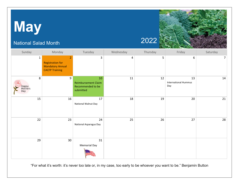# <span id="page-9-0"></span>**May**

### National Salad Month 2022



| Sunday                       | Monday                                                                                        | Tuesday                                                            | Wednesday | Thursday   | Friday                                   | Saturday       |
|------------------------------|-----------------------------------------------------------------------------------------------|--------------------------------------------------------------------|-----------|------------|------------------------------------------|----------------|
| $\mathbf{1}$                 | $\overline{2}$<br><b>Registration for</b><br><b>Mandatory Annual</b><br><b>CACFP Training</b> | 3                                                                  | 4         | $\sqrt{5}$ | 6                                        | $\overline{7}$ |
| 8<br>Happy<br>Mothers<br>Day | 9                                                                                             | 10<br><b>Reimbursement Claim</b><br>Recommended to be<br>submitted | 11        | 12         | 13<br><b>International Hummus</b><br>Day | 14             |
| 15                           | 16                                                                                            | 17<br>National Walnut Day                                          | 18        | 19         | 20                                       | $21\,$         |
| 22                           | 23                                                                                            | 24<br>National Asparagus Day                                       | 25        | 26         | 27                                       | 28             |
| 29                           | 30                                                                                            | 31<br><b>Memorial Day</b>                                          |           |            |                                          |                |

"For what it's worth: it's never too late or, in my case, too early to be whoever you want to be." Benjamin Button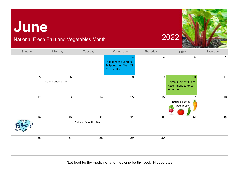### <span id="page-10-0"></span>**June**



### National Fresh Fruit and Vegetables Month 2022

| Sunday             | Monday                   | Tuesday                     | Wednesday                                                                 | Thursday    | Friday                                                             | Saturday |
|--------------------|--------------------------|-----------------------------|---------------------------------------------------------------------------|-------------|--------------------------------------------------------------------|----------|
|                    |                          |                             | <b>Independent Centers</b><br>& Sponsoring Orgs. Of<br><b>Centers Due</b> | $\mathbf 2$ | 3                                                                  | 4        |
| 5                  | 6<br>National Cheese Day | $\overline{7}$              | 8                                                                         | 9           | 10<br><b>Reimbursement Claim</b><br>Recommended to be<br>submitted | 11       |
| 12                 | 13                       | 14                          | 15                                                                        | 16          | 17<br>National Eat Your<br>Veggies Day                             | 18       |
| 19<br><b>HAPPY</b> | 20                       | 21<br>National Smoothie Day | 22                                                                        | 23          | 24                                                                 | 25       |
| 26                 | 27                       | 28                          | 29                                                                        | 30          |                                                                    |          |

"Let food be thy medicine, and medicine be thy food." Hippocrates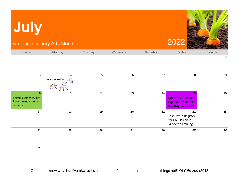# <span id="page-11-0"></span>**July**

#### National Culinary Arts Month 2022



| Sunday                                                             | Monday                | Tuesday | Wednesday | Thursday       | Friday                                                                          | Saturday       |
|--------------------------------------------------------------------|-----------------------|---------|-----------|----------------|---------------------------------------------------------------------------------|----------------|
|                                                                    |                       |         |           |                | 1                                                                               | $\overline{2}$ |
| $\overline{3}$                                                     | 4<br>Independence Day | 5       | 6         | $\overline{7}$ | 8                                                                               | 9              |
| 10<br><b>Reimbursement Claim</b><br>Recommended to be<br>submitted | $11\,$                | 12      | 13        | $14\,$         | 15<br><b>Quarterly Revenue</b><br><b>Expenditure Report</b><br>Due (MyldahoCNP) | 16             |
| 17                                                                 | 18                    | 19      | 20        | 21             | 22<br>Last Day to Register<br>for CACFP Annual<br>in-person Training            | 23             |
| 24                                                                 | 25                    | 26      | 27        | 28             | 29                                                                              | 30             |
| 31                                                                 |                       |         |           |                |                                                                                 |                |

"Oh, I don't know why, but I've always loved the idea of summer, and sun, and all things hot!" Olaf *Frozen* (2013)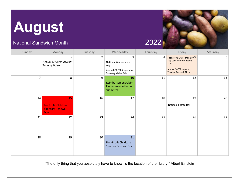## <span id="page-12-0"></span>**August**

#### National Sandwich Month 2022

| Sunday         | Monday                                                                     | Tuesday        | Wednesday                                                                         | Thursday | Friday                                                                                                                   | Saturday |
|----------------|----------------------------------------------------------------------------|----------------|-----------------------------------------------------------------------------------|----------|--------------------------------------------------------------------------------------------------------------------------|----------|
|                | 1<br>Annual CACFP in-person<br><b>Training Boise</b>                       | $\overline{2}$ | 3<br>National Watermelon<br>Day<br>Annual CACFP in-person<br>Training Idaho Falls | 4        | Sponsoring Orgs. of Family 5<br>Day Care Homes Budgets<br>Due<br>Annual CACFP in-person<br><b>Training Coeur d'Alene</b> | 6        |
| $\overline{7}$ | 8                                                                          | 9              | 10<br><b>Reimbursement Claim</b><br>Recommended to be<br>submitted                | 11       | 12                                                                                                                       | 13       |
| 14             | 15<br><b>For-Profit Childcare</b><br><b>Sponsors Renewal</b><br><b>Due</b> | 16             | 17                                                                                | 18       | 19<br>National Potato Day                                                                                                | 20       |
| 21             | 22                                                                         | 23             | 24                                                                                | 25       | 26                                                                                                                       | 27       |
| 28             | 29                                                                         | 30             | 31<br>Non-Profit Childcare<br>Sponsor Renewal Due                                 |          |                                                                                                                          |          |

"The only thing that you absolutely have to know, is the location of the library." Albert Einstein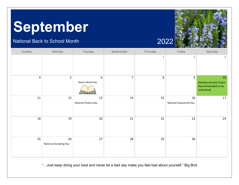### <span id="page-13-0"></span>**September**

#### National Back to School Month 2022



| Sunday         | Monday                      | Tuesday                   | Wednesday      | Thursday     | Friday                       | Saturday                                                    |
|----------------|-----------------------------|---------------------------|----------------|--------------|------------------------------|-------------------------------------------------------------|
|                |                             |                           |                | $\mathbf{1}$ | $\overline{2}$               | 3                                                           |
| $\overline{4}$ | 5                           | 6<br>Read a Book Day      | $\overline{7}$ | $\bf 8$      | 9                            | 10<br>Reimbursement Claim<br>Recommended to be<br>submitted |
| ${\bf 11}$     | $12\,$                      | 13<br>National Peanut Day | 14             | 15           | 16<br>National Guacamole Day | 17                                                          |
| 18             | 19                          | 20                        | 21             | 22           | 23                           | $24\,$                                                      |
| 25             | 26<br>National Dumpling Day | 27                        | 28             | 29           | 30                           |                                                             |

"…Just keep doing your best and never let a bad day make you feel bad about yourself." Big Bird